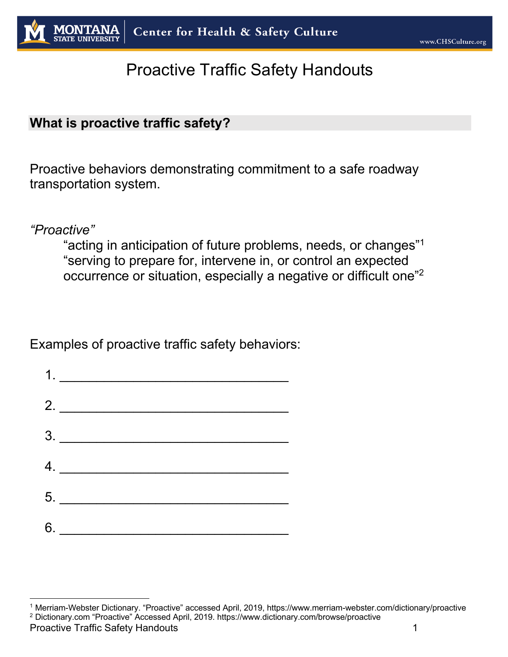# Proactive Traffic Safety Handouts

#### **What is proactive traffic safety?**

Proactive behaviors demonstrating commitment to a safe roadway transportation system.

*"Proactive"*

"acting in anticipation of future problems, needs, or changes" 1 "serving to prepare for, intervene in, or control an expected occurrence or situation, especially a negative or difficult one"2

Examples of proactive traffic safety behaviors:



<sup>1</sup> Merriam-Webster Dictionary. "Proactive" accessed April, 2019, https://www.merriam-webster.com/dictionary/proactive <sup>2</sup> Dictionary.com "Proactive" Accessed April, 2019. https://www.dictionary.com/browse/proactive

Proactive Traffic Safety Handouts 1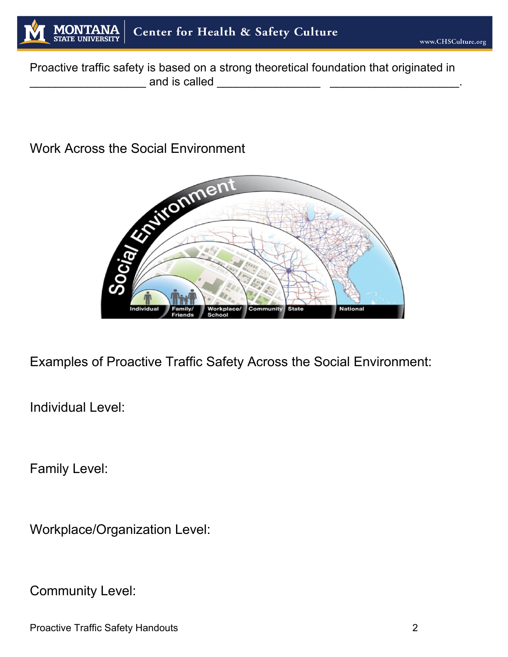

Proactive traffic safety is based on a strong theoretical foundation that originated in \_\_\_\_\_\_\_\_\_\_\_\_\_\_\_\_\_\_ and is called \_\_\_\_\_\_\_\_\_\_\_\_\_\_\_\_ \_\_\_\_\_\_\_\_\_\_\_\_\_\_\_\_\_\_\_\_.

## Work Across the Social Environment



Examples of Proactive Traffic Safety Across the Social Environment:

Individual Level:

Family Level:

Workplace/Organization Level:

Community Level:

Proactive Traffic Safety Handouts 2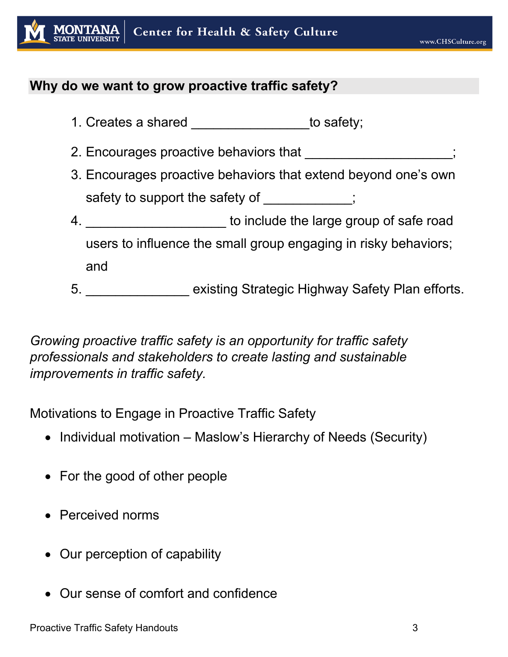

#### **Why do we want to grow proactive traffic safety?**

- 1. Creates a shared to safety;
- 2. Encourages proactive behaviors that
- 3. Encourages proactive behaviors that extend beyond one's own safety to support the safety of  $\hspace{1.5cm}$ ;
- 4. \_\_\_\_\_\_\_\_\_\_\_\_\_\_\_\_\_\_\_\_\_\_\_\_ to include the large group of safe road users to influence the small group engaging in risky behaviors; and
- 5. \_\_\_\_\_\_\_\_\_\_\_\_\_\_ existing Strategic Highway Safety Plan efforts.

*Growing proactive traffic safety is an opportunity for traffic safety professionals and stakeholders to create lasting and sustainable improvements in traffic safety.*

Motivations to Engage in Proactive Traffic Safety

- Individual motivation Maslow's Hierarchy of Needs (Security)
- For the good of other people
- Perceived norms
- Our perception of capability
- Our sense of comfort and confidence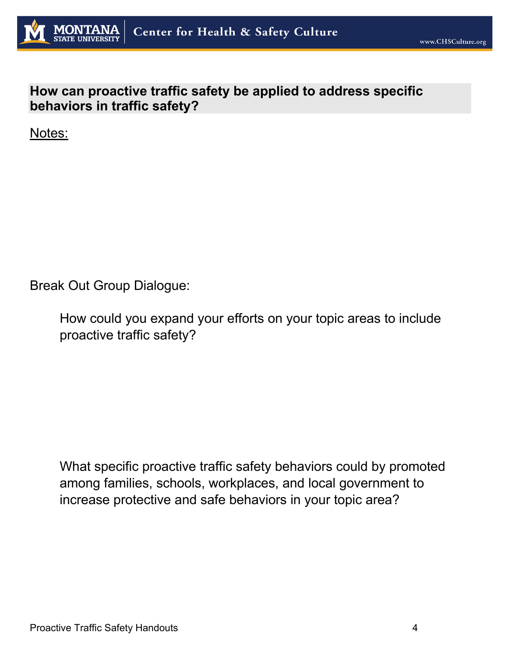

### **How can proactive traffic safety be applied to address specific behaviors in traffic safety?**

Notes:

Break Out Group Dialogue:

How could you expand your efforts on your topic areas to include proactive traffic safety?

What specific proactive traffic safety behaviors could by promoted among families, schools, workplaces, and local government to increase protective and safe behaviors in your topic area?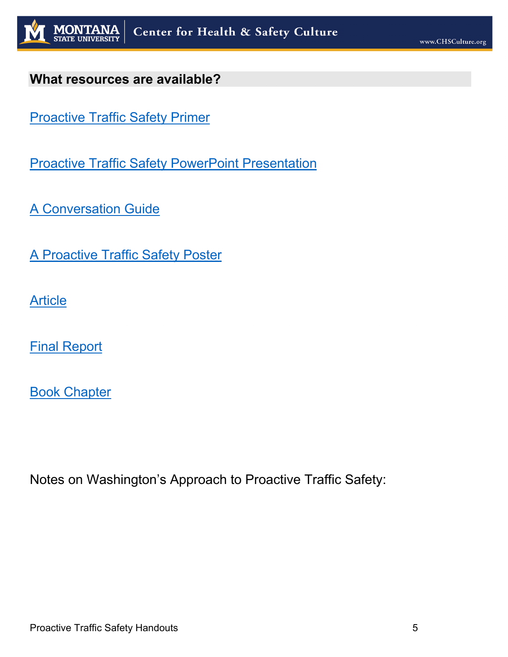

#### **What resources are available?**

Proactive Traffic Safety Primer

**Proactive Traffic Safety PowerPoint Presentation** 

A Conversation Guide

A Proactive Traffic Safety Poster

**Article** 

Final Report

Book Chapter

Notes on Washington's Approach to Proactive Traffic Safety: